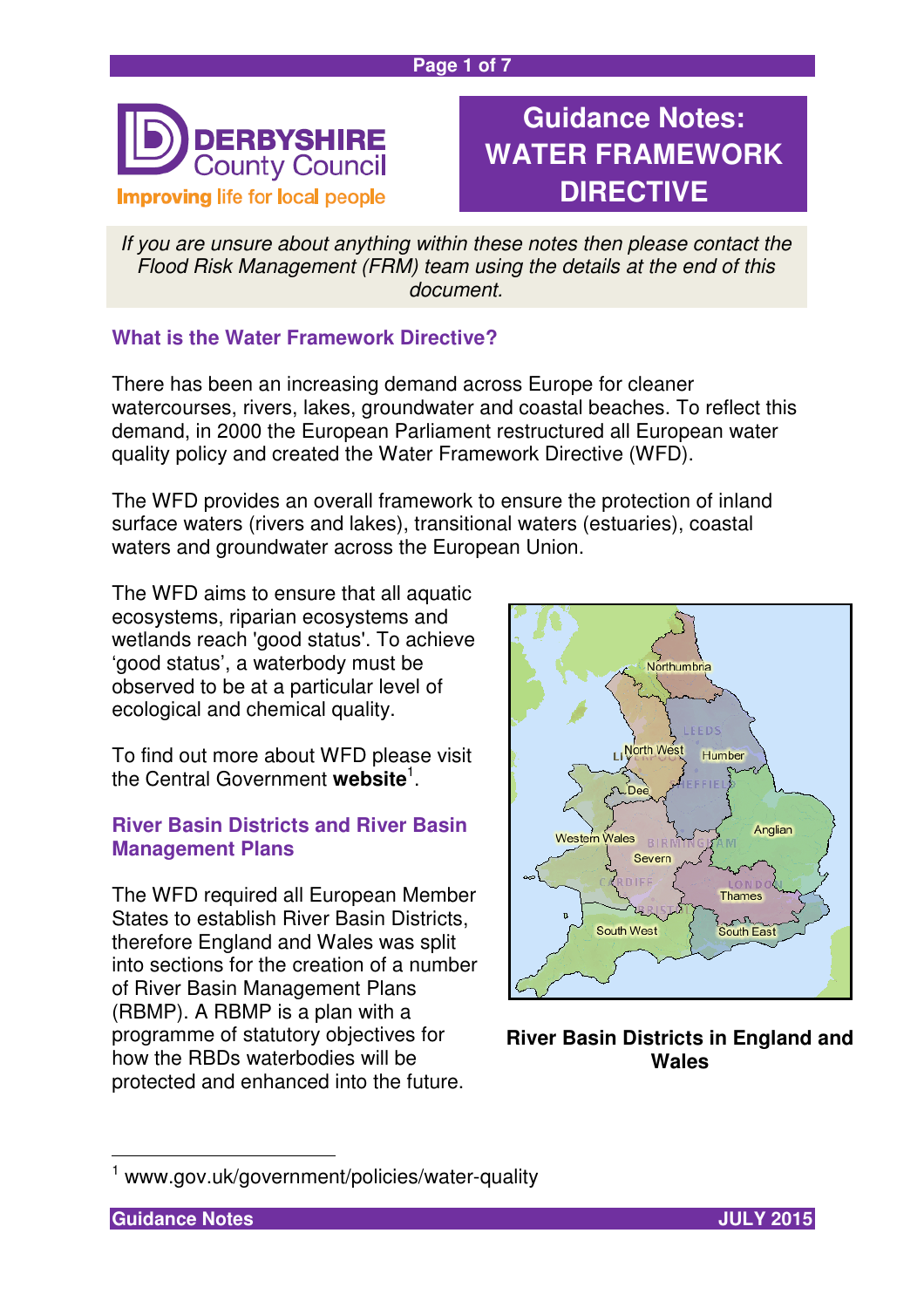#### **Page 1 of 7**



# **Guidance Notes: WATER FRAMEWORK DIRECTIVE**

If you are unsure about anything within these notes then please contact the Flood Risk Management (FRM) team using the details at the end of this document.

## **What is the Water Framework Directive?**

There has been an increasing demand across Europe for cleaner watercourses, rivers, lakes, groundwater and coastal beaches. To reflect this demand, in 2000 the European Parliament restructured all European water quality policy and created the Water Framework Directive (WFD).

The WFD provides an overall framework to ensure the protection of inland surface waters (rivers and lakes), transitional waters (estuaries), coastal waters and groundwater across the European Union.

The WFD aims to ensure that all aquatic ecosystems, riparian ecosystems and wetlands reach 'good status'. To achieve 'good status', a waterbody must be observed to be at a particular level of ecological and chemical quality.

To find out more about WFD please visit the Central Government **website**<sup>1</sup> .

## **River Basin Districts and River Basin Management Plans**

The WFD required all European Member States to establish River Basin Districts, therefore England and Wales was split into sections for the creation of a number of River Basin Management Plans (RBMP). A RBMP is a plan with a programme of statutory objectives for how the RBDs waterbodies will be protected and enhanced into the future.



**River Basin Districts in England and Wales**

 $\overline{\phantom{a}}$ 



<sup>1</sup> www.gov.uk/government/policies/water-quality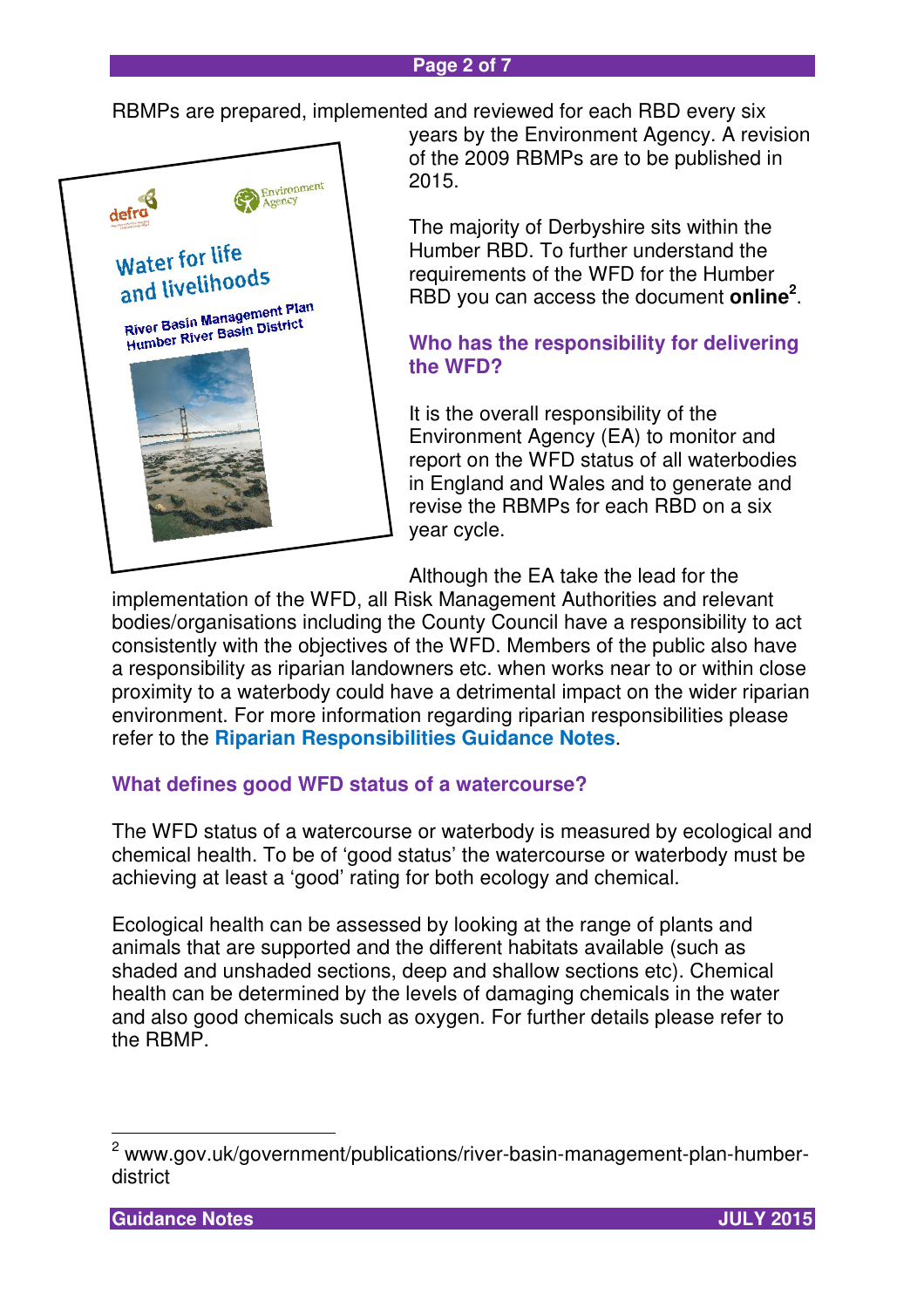#### **Page 2 of 7**

RBMPs are prepared, implemented and reviewed for each RBD every six



years by the Environment Agency. A revision of the 2009 RBMPs are to be published in 2015.

The majority of Derbyshire sits within the Humber RBD. To further understand the requirements of the WFD for the Humber RBD you can access the document **online<sup>2</sup>** .

## **Who has the responsibility for delivering the WFD?**

It is the overall responsibility of the Environment Agency (EA) to monitor and report on the WFD status of all waterbodies in England and Wales and to generate and revise the RBMPs for each RBD on a six year cycle.

Although the EA take the lead for the

implementation of the WFD, all Risk Management Authorities and relevant bodies/organisations including the County Council have a responsibility to act consistently with the objectives of the WFD. Members of the public also have a responsibility as riparian landowners etc. when works near to or within close proximity to a waterbody could have a detrimental impact on the wider riparian environment. For more information regarding riparian responsibilities please refer to the **Riparian Responsibilities Guidance Notes**.

## **What defines good WFD status of a watercourse?**

The WFD status of a watercourse or waterbody is measured by ecological and chemical health. To be of 'good status' the watercourse or waterbody must be achieving at least a 'good' rating for both ecology and chemical.

Ecological health can be assessed by looking at the range of plants and animals that are supported and the different habitats available (such as shaded and unshaded sections, deep and shallow sections etc). Chemical health can be determined by the levels of damaging chemicals in the water and also good chemicals such as oxygen. For further details please refer to the RBMP.

 2 www.gov.uk/government/publications/river-basin-management-plan-humberdistrict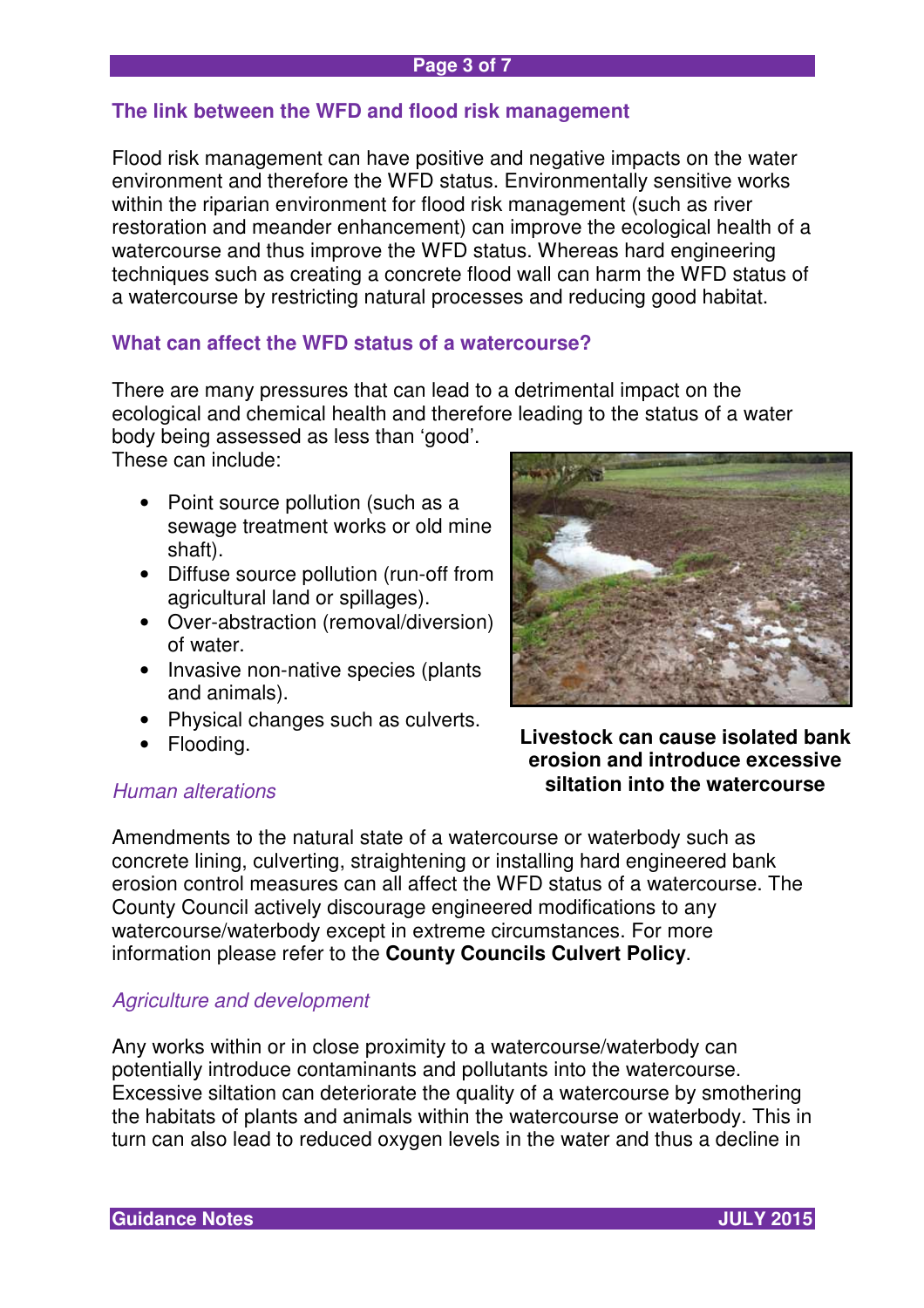## **The link between the WFD and flood risk management**

Flood risk management can have positive and negative impacts on the water environment and therefore the WFD status. Environmentally sensitive works within the riparian environment for flood risk management (such as river restoration and meander enhancement) can improve the ecological health of a watercourse and thus improve the WFD status. Whereas hard engineering techniques such as creating a concrete flood wall can harm the WFD status of a watercourse by restricting natural processes and reducing good habitat.

## **What can affect the WFD status of a watercourse?**

There are many pressures that can lead to a detrimental impact on the ecological and chemical health and therefore leading to the status of a water body being assessed as less than 'good'.

These can include:

- Point source pollution (such as a sewage treatment works or old mine shaft).
- Diffuse source pollution (run-off from agricultural land or spillages).
- Over-abstraction (removal/diversion) of water.
- Invasive non-native species (plants and animals).
- Physical changes such as culverts.
- Flooding.

#### Human alterations



**Livestock can cause isolated bank erosion and introduce excessive siltation into the watercourse** 

Amendments to the natural state of a watercourse or waterbody such as concrete lining, culverting, straightening or installing hard engineered bank erosion control measures can all affect the WFD status of a watercourse. The County Council actively discourage engineered modifications to any watercourse/waterbody except in extreme circumstances. For more information please refer to the **County Councils Culvert Policy**.

#### Agriculture and development

Any works within or in close proximity to a watercourse/waterbody can potentially introduce contaminants and pollutants into the watercourse. Excessive siltation can deteriorate the quality of a watercourse by smothering the habitats of plants and animals within the watercourse or waterbody. This in turn can also lead to reduced oxygen levels in the water and thus a decline in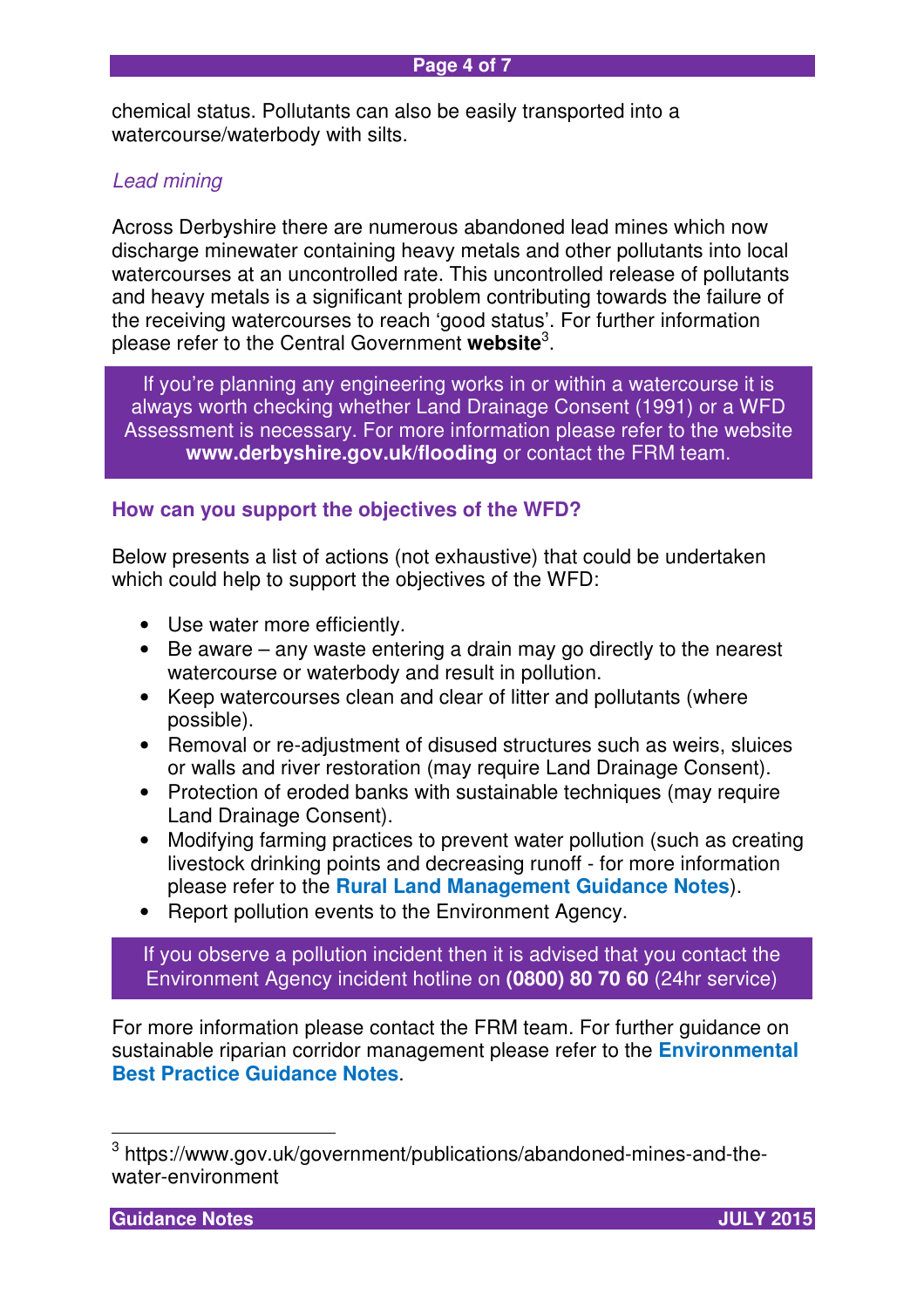chemical status. Pollutants can also be easily transported into a watercourse/waterbody with silts.

#### Lead mining

Across Derbyshire there are numerous abandoned lead mines which now discharge minewater containing heavy metals and other pollutants into local watercourses at an uncontrolled rate. This uncontrolled release of pollutants and heavy metals is a significant problem contributing towards the failure of the receiving watercourses to reach 'good status'. For further information please refer to the Central Government **website**<sup>3</sup> .

Assessment is necessary. For more information please refer to the website If you're planning any engineering works in or within a watercourse it is always worth checking whether Land Drainage Consent (1991) or a WFD **www.derbyshire.gov.uk/flooding** or contact the FRM team.

#### **How can you support the objectives of the WFD?**

Below presents a list of actions (not exhaustive) that could be undertaken which could help to support the objectives of the WFD:

- Use water more efficiently.
- Be aware any waste entering a drain may go directly to the nearest watercourse or waterbody and result in pollution.
- Keep watercourses clean and clear of litter and pollutants (where possible).
- Removal or re-adjustment of disused structures such as weirs, sluices or walls and river restoration (may require Land Drainage Consent).
- Protection of eroded banks with sustainable techniques (may require Land Drainage Consent).
- Modifying farming practices to prevent water pollution (such as creating livestock drinking points and decreasing runoff - for more information please refer to the **Rural Land Management Guidance Notes**).
- Report pollution events to the Environment Agency.

If you observe a pollution incident then it is advised that you contact the Environment Agency incident hotline on **(0800) 80 70 60** (24hr service)

For more information please contact the FRM team. For further guidance on sustainable riparian corridor management please refer to the **Environmental Best Practice Guidance Notes**.

**Guidance Notes JULY 2015** 

 3 https://www.gov.uk/government/publications/abandoned-mines-and-thewater-environment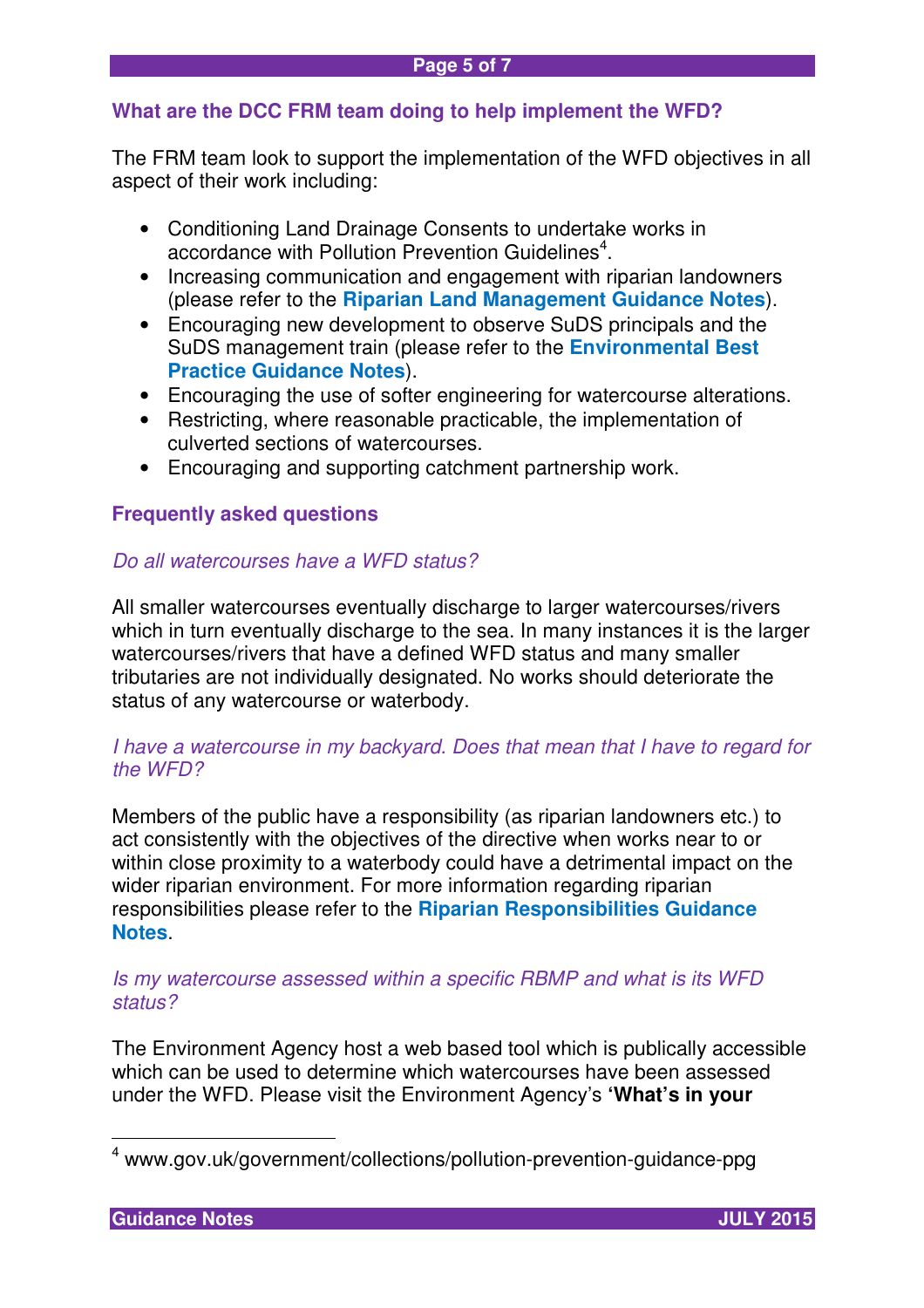## **What are the DCC FRM team doing to help implement the WFD?**

The FRM team look to support the implementation of the WFD objectives in all aspect of their work including:

- Conditioning Land Drainage Consents to undertake works in accordance with Pollution Prevention Guidelines<sup>4</sup>.
- Increasing communication and engagement with riparian landowners (please refer to the **Riparian Land Management Guidance Notes**).
- Encouraging new development to observe SuDS principals and the SuDS management train (please refer to the **Environmental Best Practice Guidance Notes**).
- Encouraging the use of softer engineering for watercourse alterations.
- Restricting, where reasonable practicable, the implementation of culverted sections of watercourses.
- Encouraging and supporting catchment partnership work.

## **Frequently asked questions**

## Do all watercourses have a WFD status?

All smaller watercourses eventually discharge to larger watercourses/rivers which in turn eventually discharge to the sea. In many instances it is the larger watercourses/rivers that have a defined WFD status and many smaller tributaries are not individually designated. No works should deteriorate the status of any watercourse or waterbody.

## I have a watercourse in my backyard. Does that mean that I have to regard for the WFD?

Members of the public have a responsibility (as riparian landowners etc.) to act consistently with the objectives of the directive when works near to or within close proximity to a waterbody could have a detrimental impact on the wider riparian environment. For more information regarding riparian responsibilities please refer to the **Riparian Responsibilities Guidance Notes**.

#### Is my watercourse assessed within a specific RBMP and what is its WFD status?

The Environment Agency host a web based tool which is publically accessible which can be used to determine which watercourses have been assessed under the WFD. Please visit the Environment Agency's **'What's in your** 

 4 www.gov.uk/government/collections/pollution-prevention-guidance-ppg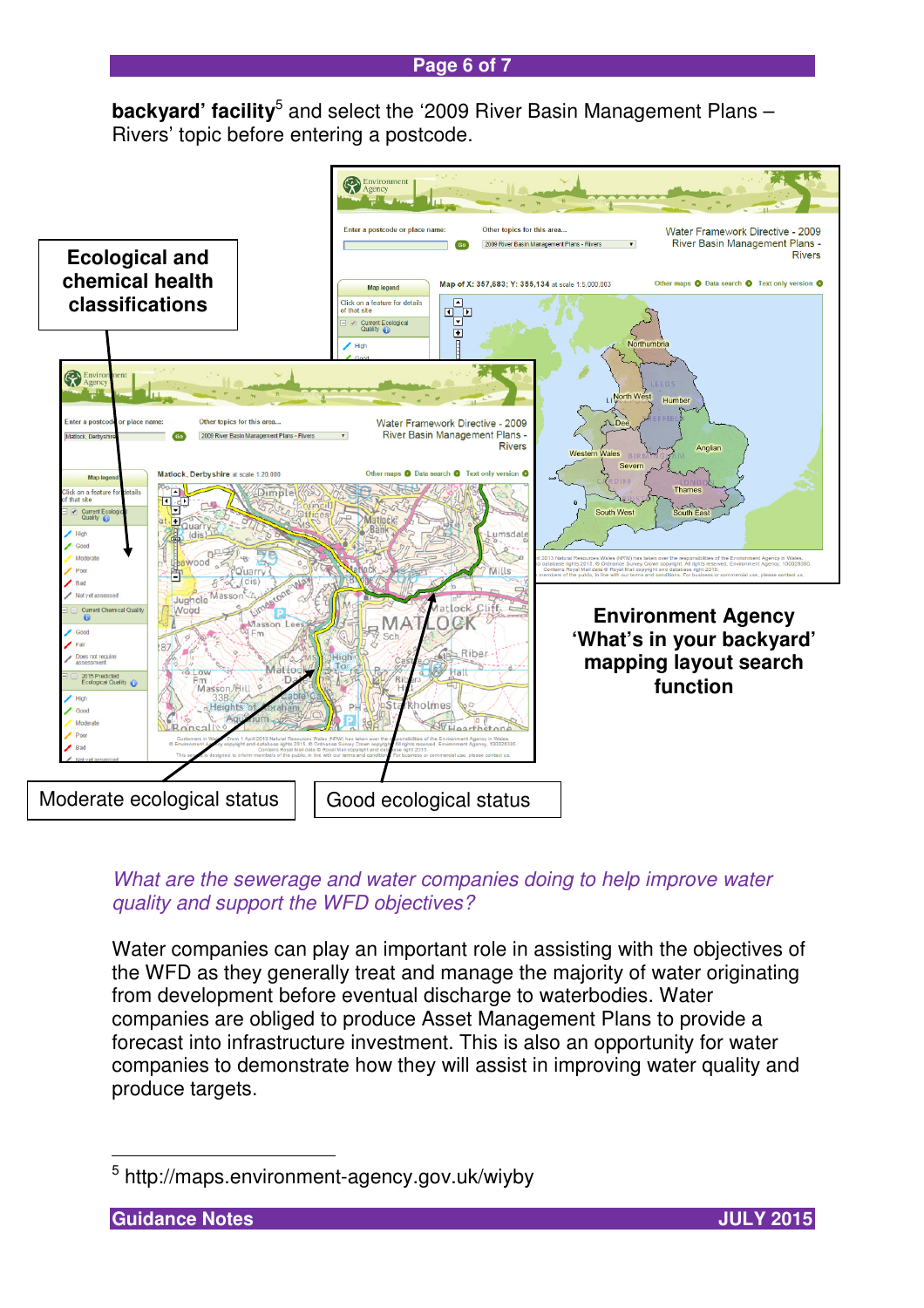**backyard' facility**<sup>5</sup> and select the '2009 River Basin Management Plans -Rivers' topic before entering a postcode.



## What are the sewerage and water companies doing to help improve water quality and support the WFD objectives?

Water companies can play an important role in assisting with the objectives of the WFD as they generally treat and manage the majority of water originating from development before eventual discharge to waterbodies. Water companies are obliged to produce Asset Management Plans to provide a forecast into infrastructure investment. This is also an opportunity for water companies to demonstrate how they will assist in improving water quality and produce targets.

 $\overline{\phantom{a}}$ 

<sup>5</sup> http://maps.environment-agency.gov.uk/wiyby